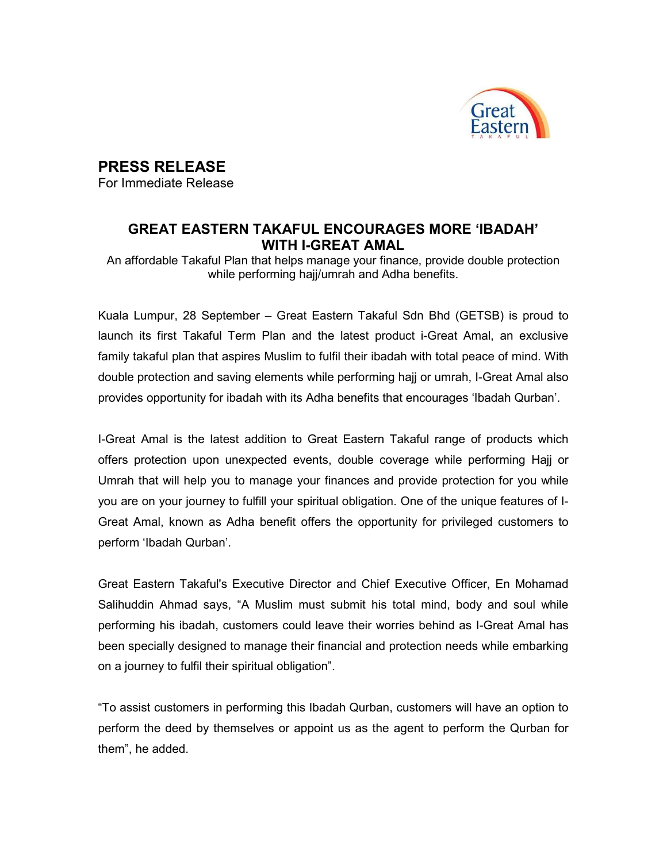

## PRESS RELEASE

For Immediate Release

## GREAT EASTERN TAKAFUL ENCOURAGES MORE 'IBADAH' WITH I-GREAT AMAL

An affordable Takaful Plan that helps manage your finance, provide double protection while performing hajj/umrah and Adha benefits.

Kuala Lumpur, 28 September – Great Eastern Takaful Sdn Bhd (GETSB) is proud to launch its first Takaful Term Plan and the latest product i-Great Amal, an exclusive family takaful plan that aspires Muslim to fulfil their ibadah with total peace of mind. With double protection and saving elements while performing hajj or umrah, I-Great Amal also provides opportunity for ibadah with its Adha benefits that encourages 'Ibadah Qurban'.

I-Great Amal is the latest addition to Great Eastern Takaful range of products which offers protection upon unexpected events, double coverage while performing Hajj or Umrah that will help you to manage your finances and provide protection for you while you are on your journey to fulfill your spiritual obligation. One of the unique features of I-Great Amal, known as Adha benefit offers the opportunity for privileged customers to perform 'Ibadah Qurban'.

Great Eastern Takaful's Executive Director and Chief Executive Officer, En Mohamad Salihuddin Ahmad says, "A Muslim must submit his total mind, body and soul while performing his ibadah, customers could leave their worries behind as I-Great Amal has been specially designed to manage their financial and protection needs while embarking on a journey to fulfil their spiritual obligation".

"To assist customers in performing this Ibadah Qurban, customers will have an option to perform the deed by themselves or appoint us as the agent to perform the Qurban for them", he added.